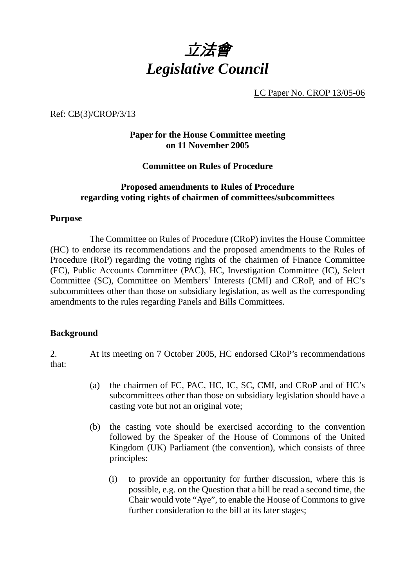

LC Paper No. CROP 13/05-06

Ref: CB(3)/CROP/3/13

## **Paper for the House Committee meeting on 11 November 2005**

**Committee on Rules of Procedure** 

### **Proposed amendments to Rules of Procedure regarding voting rights of chairmen of committees/subcommittees**

### **Purpose**

 The Committee on Rules of Procedure (CRoP) invites the House Committee (HC) to endorse its recommendations and the proposed amendments to the Rules of Procedure (RoP) regarding the voting rights of the chairmen of Finance Committee (FC), Public Accounts Committee (PAC), HC, Investigation Committee (IC), Select Committee (SC), Committee on Members' Interests (CMI) and CRoP, and of HC's subcommittees other than those on subsidiary legislation, as well as the corresponding amendments to the rules regarding Panels and Bills Committees.

### **Background**

2. At its meeting on 7 October 2005, HC endorsed CRoP's recommendations that:

- (a) the chairmen of FC, PAC, HC, IC, SC, CMI, and CRoP and of HC's subcommittees other than those on subsidiary legislation should have a casting vote but not an original vote;
- (b) the casting vote should be exercised according to the convention followed by the Speaker of the House of Commons of the United Kingdom (UK) Parliament (the convention), which consists of three principles:
	- (i) to provide an opportunity for further discussion, where this is possible, e.g. on the Question that a bill be read a second time, the Chair would vote "Aye", to enable the House of Commons to give further consideration to the bill at its later stages;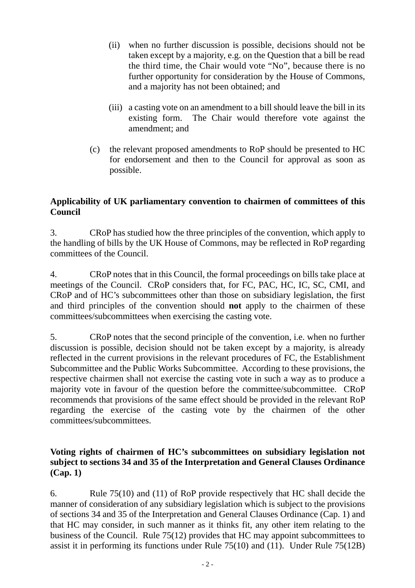- (ii) when no further discussion is possible, decisions should not be taken except by a majority, e.g. on the Question that a bill be read the third time, the Chair would vote "No", because there is no further opportunity for consideration by the House of Commons, and a majority has not been obtained; and
- (iii) a casting vote on an amendment to a bill should leave the bill in its existing form. The Chair would therefore vote against the amendment; and
- (c) the relevant proposed amendments to RoP should be presented to HC for endorsement and then to the Council for approval as soon as possible.

# **Applicability of UK parliamentary convention to chairmen of committees of this Council**

3. CRoP has studied how the three principles of the convention, which apply to the handling of bills by the UK House of Commons, may be reflected in RoP regarding committees of the Council.

4. CRoP notes that in this Council, the formal proceedings on bills take place at meetings of the Council. CRoP considers that, for FC, PAC, HC, IC, SC, CMI, and CRoP and of HC's subcommittees other than those on subsidiary legislation, the first and third principles of the convention should **not** apply to the chairmen of these committees/subcommittees when exercising the casting vote.

5. CRoP notes that the second principle of the convention, i.e. when no further discussion is possible, decision should not be taken except by a majority, is already reflected in the current provisions in the relevant procedures of FC, the Establishment Subcommittee and the Public Works Subcommittee. According to these provisions, the respective chairmen shall not exercise the casting vote in such a way as to produce a majority vote in favour of the question before the committee/subcommittee. CRoP recommends that provisions of the same effect should be provided in the relevant RoP regarding the exercise of the casting vote by the chairmen of the other committees/subcommittees.

# **Voting rights of chairmen of HC's subcommittees on subsidiary legislation not subject to sections 34 and 35 of the Interpretation and General Clauses Ordinance (Cap. 1)**

6. Rule 75(10) and (11) of RoP provide respectively that HC shall decide the manner of consideration of any subsidiary legislation which is subject to the provisions of sections 34 and 35 of the Interpretation and General Clauses Ordinance (Cap. 1) and that HC may consider, in such manner as it thinks fit, any other item relating to the business of the Council. Rule 75(12) provides that HC may appoint subcommittees to assist it in performing its functions under Rule 75(10) and (11). Under Rule 75(12B)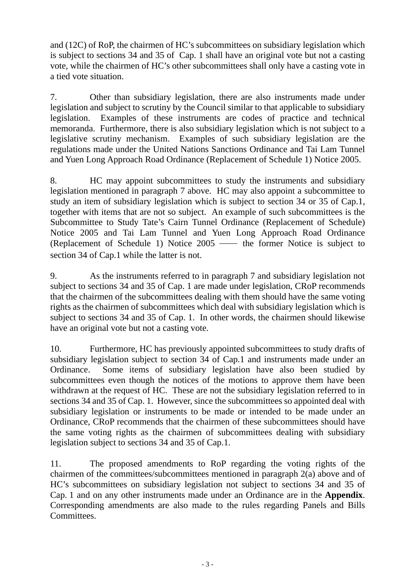and (12C) of RoP, the chairmen of HC's subcommittees on subsidiary legislation which is subject to sections 34 and 35 of Cap. 1 shall have an original vote but not a casting vote, while the chairmen of HC's other subcommittees shall only have a casting vote in a tied vote situation.

7. Other than subsidiary legislation, there are also instruments made under legislation and subject to scrutiny by the Council similar to that applicable to subsidiary legislation. Examples of these instruments are codes of practice and technical memoranda. Furthermore, there is also subsidiary legislation which is not subject to a legislative scrutiny mechanism. Examples of such subsidiary legislation are the regulations made under the United Nations Sanctions Ordinance and Tai Lam Tunnel and Yuen Long Approach Road Ordinance (Replacement of Schedule 1) Notice 2005.

8. HC may appoint subcommittees to study the instruments and subsidiary legislation mentioned in paragraph 7 above. HC may also appoint a subcommittee to study an item of subsidiary legislation which is subject to section 34 or 35 of Cap.1, together with items that are not so subject. An example of such subcommittees is the Subcommittee to Study Tate's Cairn Tunnel Ordinance (Replacement of Schedule) Notice 2005 and Tai Lam Tunnel and Yuen Long Approach Road Ordinance (Replacement of Schedule 1) Notice 2005 ── the former Notice is subject to section 34 of Cap.1 while the latter is not.

9. As the instruments referred to in paragraph 7 and subsidiary legislation not subject to sections 34 and 35 of Cap. 1 are made under legislation, CRoP recommends that the chairmen of the subcommittees dealing with them should have the same voting rights as the chairmen of subcommittees which deal with subsidiary legislation which is subject to sections 34 and 35 of Cap. 1. In other words, the chairmen should likewise have an original vote but not a casting vote.

10. Furthermore, HC has previously appointed subcommittees to study drafts of subsidiary legislation subject to section 34 of Cap.1 and instruments made under an Ordinance. Some items of subsidiary legislation have also been studied by subcommittees even though the notices of the motions to approve them have been withdrawn at the request of HC. These are not the subsidiary legislation referred to in sections 34 and 35 of Cap. 1. However, since the subcommittees so appointed deal with subsidiary legislation or instruments to be made or intended to be made under an Ordinance, CRoP recommends that the chairmen of these subcommittees should have the same voting rights as the chairmen of subcommittees dealing with subsidiary legislation subject to sections 34 and 35 of Cap.1.

11. The proposed amendments to RoP regarding the voting rights of the chairmen of the committees/subcommittees mentioned in paragraph 2(a) above and of HC's subcommittees on subsidiary legislation not subject to sections 34 and 35 of Cap. 1 and on any other instruments made under an Ordinance are in the **Appendix**. Corresponding amendments are also made to the rules regarding Panels and Bills Committees.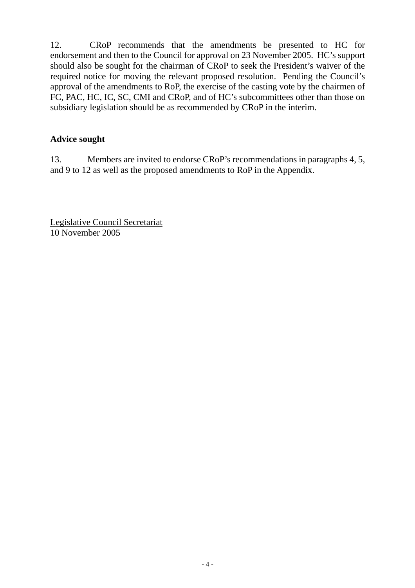12. CRoP recommends that the amendments be presented to HC for endorsement and then to the Council for approval on 23 November 2005. HC's support should also be sought for the chairman of CRoP to seek the President's waiver of the required notice for moving the relevant proposed resolution. Pending the Council's approval of the amendments to RoP, the exercise of the casting vote by the chairmen of FC, PAC, HC, IC, SC, CMI and CRoP, and of HC's subcommittees other than those on subsidiary legislation should be as recommended by CRoP in the interim.

# **Advice sought**

13. Members are invited to endorse CRoP's recommendations in paragraphs 4, 5, and 9 to 12 as well as the proposed amendments to RoP in the Appendix.

Legislative Council Secretariat 10 November 2005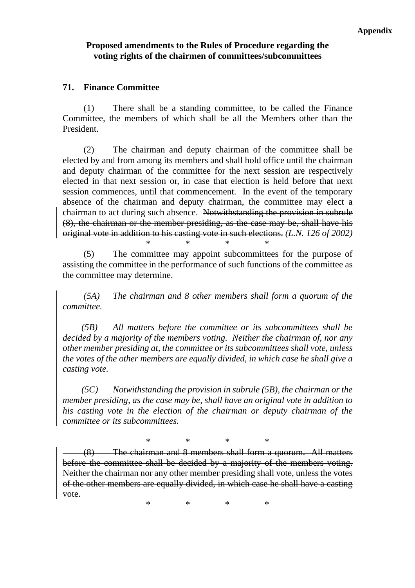## **Proposed amendments to the Rules of Procedure regarding the voting rights of the chairmen of committees/subcommittees**

## **71. Finance Committee**

 (1) There shall be a standing committee, to be called the Finance Committee, the members of which shall be all the Members other than the President.

 (2) The chairman and deputy chairman of the committee shall be elected by and from among its members and shall hold office until the chairman and deputy chairman of the committee for the next session are respectively elected in that next session or, in case that election is held before that next session commences, until that commencement. In the event of the temporary absence of the chairman and deputy chairman, the committee may elect a chairman to act during such absence. Notwithstanding the provision in subrule (8), the chairman or the member presiding, as the case may be, shall have his original vote in addition to his casting vote in such elections. *(L.N. 126 of 2002)*

 (5) The committee may appoint subcommittees for the purpose of assisting the committee in the performance of such functions of the committee as the committee may determine.

\* \* \* \*

 *(5A) The chairman and 8 other members shall form a quorum of the committee.* 

 *(5B) All matters before the committee or its subcommittees shall be decided by a majority of the members voting. Neither the chairman of, nor any other member presiding at, the committee or its subcommittees shall vote, unless the votes of the other members are equally divided, in which case he shall give a casting vote.* 

 *(5C) Notwithstanding the provision in subrule (5B), the chairman or the member presiding, as the case may be, shall have an original vote in addition to his casting vote in the election of the chairman or deputy chairman of the committee or its subcommittees.* 

\* \* \* \*

(8) The chairman and 8 members shall form a quorum. All matters before the committee shall be decided by a majority of the members voting. Neither the chairman nor any other member presiding shall vote, unless the votes of the other members are equally divided, in which case he shall have a casting vote.

\* \* \* \*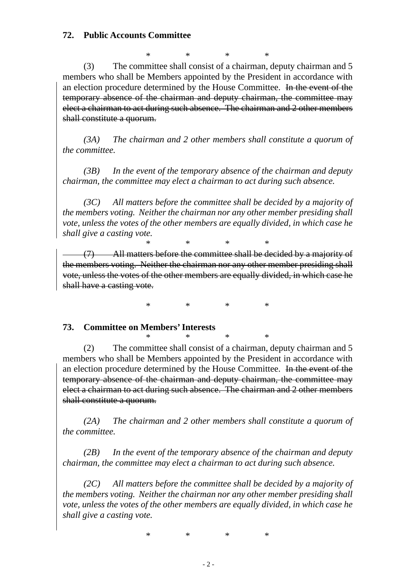### **72. Public Accounts Committee**

\* \* \* \* (3) The committee shall consist of a chairman, deputy chairman and 5 members who shall be Members appointed by the President in accordance with an election procedure determined by the House Committee. In the event of the temporary absence of the chairman and deputy chairman, the committee may elect a chairman to act during such absence. The chairman and 2 other members shall constitute a quorum.

 *(3A) The chairman and 2 other members shall constitute a quorum of the committee.* 

 *(3B) In the event of the temporary absence of the chairman and deputy chairman, the committee may elect a chairman to act during such absence.* 

 *(3C) All matters before the committee shall be decided by a majority of the members voting. Neither the chairman nor any other member presiding shall vote, unless the votes of the other members are equally divided, in which case he shall give a casting vote.*

\* \* \* \* (7) All matters before the committee shall be decided by a majority of the members voting. Neither the chairman nor any other member presiding shall vote, unless the votes of the other members are equally divided, in which case he shall have a casting vote.

\* \* \* \*

### **73. Committee on Members' Interests**

\* \* \* \* (2) The committee shall consist of a chairman, deputy chairman and 5 members who shall be Members appointed by the President in accordance with an election procedure determined by the House Committee. In the event of the temporary absence of the chairman and deputy chairman, the committee may elect a chairman to act during such absence. The chairman and 2 other members shall constitute a quorum.

 *(2A) The chairman and 2 other members shall constitute a quorum of the committee.* 

 *(2B) In the event of the temporary absence of the chairman and deputy chairman, the committee may elect a chairman to act during such absence.* 

 *(2C) All matters before the committee shall be decided by a majority of the members voting. Neither the chairman nor any other member presiding shall vote, unless the votes of the other members are equally divided, in which case he shall give a casting vote.* 

\* \* \* \*

- 2 -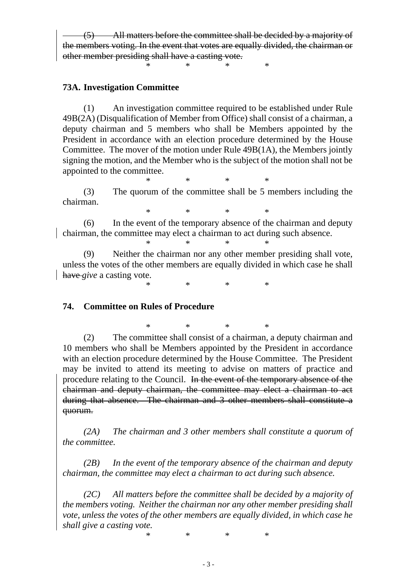(5) All matters before the committee shall be decided by a majority of the members voting. In the event that votes are equally divided, the chairman or other member presiding shall have a casting vote.

\* \* \* \*

### **73A. Investigation Committee**

 (1) An investigation committee required to be established under Rule 49B(2A) (Disqualification of Member from Office) shall consist of a chairman, a deputy chairman and 5 members who shall be Members appointed by the President in accordance with an election procedure determined by the House Committee. The mover of the motion under Rule 49B(1A), the Members jointly signing the motion, and the Member who is the subject of the motion shall not be appointed to the committee.

\* \* \* \* (3) The quorum of the committee shall be 5 members including the chairman.

\* \* \* \*

 (6) In the event of the temporary absence of the chairman and deputy chairman*,* the committee may elect a chairman to act during such absence. \* \* \* \*

 (9) Neither the chairman nor any other member presiding shall vote, unless the votes of the other members are equally divided in which case he shall have *give* a casting vote.

\* \* \* \*

#### **74. Committee on Rules of Procedure**

\* \* \* \* (2) The committee shall consist of a chairman, a deputy chairman and 10 members who shall be Members appointed by the President in accordance with an election procedure determined by the House Committee. The President may be invited to attend its meeting to advise on matters of practice and procedure relating to the Council. In the event of the temporary absence of the chairman and deputy chairman, the committee may elect a chairman to act during that absence. The chairman and 3 other members shall constitute a quorum.

 *(2A) The chairman and 3 other members shall constitute a quorum of the committee.* 

 *(2B) In the event of the temporary absence of the chairman and deputy chairman, the committee may elect a chairman to act during such absence.* 

 *(2C) All matters before the committee shall be decided by a majority of the members voting. Neither the chairman nor any other member presiding shall vote, unless the votes of the other members are equally divided, in which case he shall give a casting vote.* 

\* \* \* \*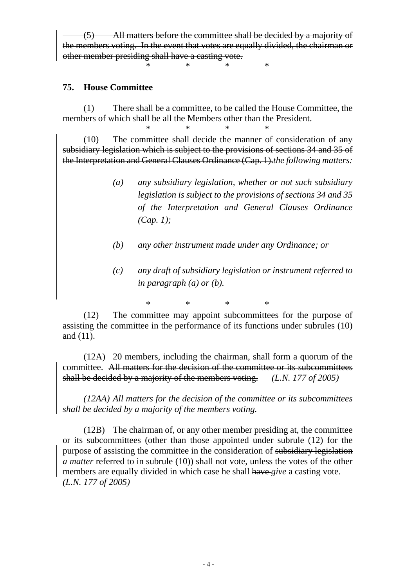(5) All matters before the committee shall be decided by a majority of the members voting. In the event that votes are equally divided, the chairman or other member presiding shall have a casting vote.

\* \* \* \*

### **75. House Committee**

 (1) There shall be a committee, to be called the House Committee, the members of which shall be all the Members other than the President.

\* \* \* \* (10) The committee shall decide the manner of consideration of any subsidiary legislation which is subject to the provisions of sections 34 and 35 of the Interpretation and General Clauses Ordinance (Cap. 1).*the following matters:*

- *(a) any subsidiary legislation, whether or not such subsidiary legislation is subject to the provisions of sections 34 and 35 of the Interpretation and General Clauses Ordinance (Cap. 1);*
- *(b) any other instrument made under any Ordinance; or*
- *(c) any draft of subsidiary legislation or instrument referred to in paragraph (a) or (b).*

\* \* \* \* (12) The committee may appoint subcommittees for the purpose of assisting the committee in the performance of its functions under subrules (10) and (11).

 (12A) 20 members, including the chairman, shall form a quorum of the committee. All matters for the decision of the committee or its subcommittees shall be decided by a majority of the members voting. *(L.N. 177 of 2005)*

 *(12AA) All matters for the decision of the committee or its subcommittees shall be decided by a majority of the members voting.* 

 (12B) The chairman of, or any other member presiding at, the committee or its subcommittees (other than those appointed under subrule (12) for the purpose of assisting the committee in the consideration of subsidiary legislation *a matter* referred to in subrule (10)) shall not vote, unless the votes of the other members are equally divided in which case he shall have *give* a casting vote. *(L.N. 177 of 2005)*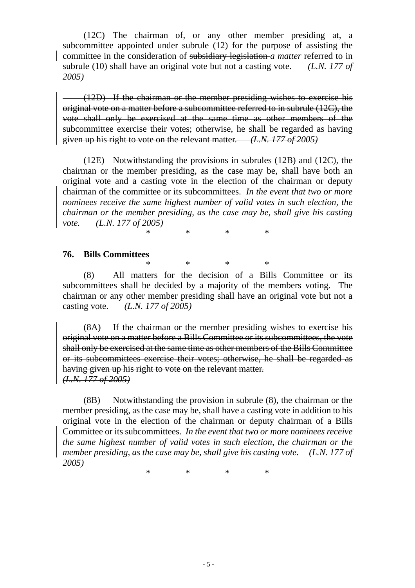(12C) The chairman of, or any other member presiding at, a subcommittee appointed under subrule (12) for the purpose of assisting the committee in the consideration of subsidiary legislation *a matter* referred to in subrule (10) shall have an original vote but not a casting vote. *(L.N. 177 of 2005)*

(12D) If the chairman or the member presiding wishes to exercise his original vote on a matter before a subcommittee referred to in subrule (12C), the vote shall only be exercised at the same time as other members of the subcommittee exercise their votes; otherwise, he shall be regarded as having given up his right to vote on the relevant matter. *(L.N. 177 of 2005)*

 (12E) Notwithstanding the provisions in subrules (12B) and (12C), the chairman or the member presiding, as the case may be, shall have both an original vote and a casting vote in the election of the chairman or deputy chairman of the committee or its subcommittees. *In the event that two or more nominees receive the same highest number of valid votes in such election, the chairman or the member presiding, as the case may be, shall give his casting vote. (L.N. 177 of 2005)*

\* \* \* \*

#### **76. Bills Committees**

\* \* \* \* (8) All matters for the decision of a Bills Committee or its subcommittees shall be decided by a majority of the members voting. The chairman or any other member presiding shall have an original vote but not a casting vote. *(L.N. 177 of 2005)* 

(8A) If the chairman or the member presiding wishes to exercise his original vote on a matter before a Bills Committee or its subcommittees, the vote shall only be exercised at the same time as other members of the Bills Committee or its subcommittees exercise their votes; otherwise, he shall be regarded as having given up his right to vote on the relevant matter. *(L.N. 177 of 2005)*

 (8B) Notwithstanding the provision in subrule (8), the chairman or the member presiding, as the case may be, shall have a casting vote in addition to his original vote in the election of the chairman or deputy chairman of a Bills Committee or its subcommittees. *In the event that two or more nominees receive the same highest number of valid votes in such election, the chairman or the member presiding, as the case may be, shall give his casting vote. (L.N. 177 of 2005)*

\* \* \* \*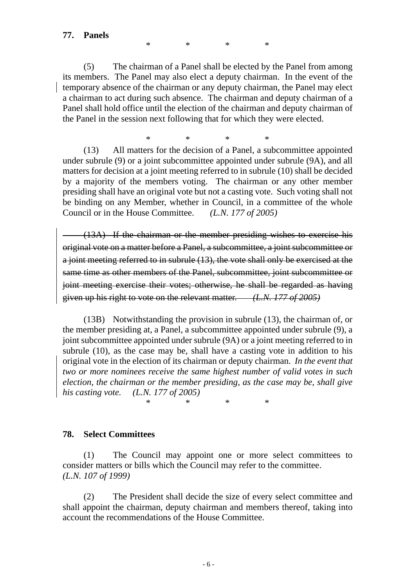\* \* \* \*

 (5) The chairman of a Panel shall be elected by the Panel from among its members. The Panel may also elect a deputy chairman. In the event of the temporary absence of the chairman or any deputy chairman*,* the Panel may elect a chairman to act during such absence. The chairman and deputy chairman of a Panel shall hold office until the election of the chairman and deputy chairman of the Panel in the session next following that for which they were elected.

\* \* \* \*

 (13) All matters for the decision of a Panel, a subcommittee appointed under subrule (9) or a joint subcommittee appointed under subrule (9A), and all matters for decision at a joint meeting referred to in subrule (10) shall be decided by a majority of the members voting. The chairman or any other member presiding shall have an original vote but not a casting vote. Such voting shall not be binding on any Member, whether in Council, in a committee of the whole Council or in the House Committee. *(L.N. 177 of 2005)* 

(13A) If the chairman or the member presiding wishes to exercise his original vote on a matter before a Panel, a subcommittee, a joint subcommittee or a joint meeting referred to in subrule (13), the vote shall only be exercised at the same time as other members of the Panel, subcommittee, joint subcommittee or joint meeting exercise their votes; otherwise, he shall be regarded as having given up his right to vote on the relevant matter. *(L.N. 177 of 2005)*

 (13B) Notwithstanding the provision in subrule (13), the chairman of, or the member presiding at, a Panel, a subcommittee appointed under subrule (9), a joint subcommittee appointed under subrule (9A) or a joint meeting referred to in subrule (10), as the case may be, shall have a casting vote in addition to his original vote in the election of its chairman or deputy chairman. *In the event that two or more nominees receive the same highest number of valid votes in such election, the chairman or the member presiding, as the case may be, shall give his casting vote. (L.N. 177 of 2005)* 

\* \* \* \*

### **78. Select Committees**

 (1) The Council may appoint one or more select committees to consider matters or bills which the Council may refer to the committee. *(L.N. 107 of 1999)*

 (2) The President shall decide the size of every select committee and shall appoint the chairman, deputy chairman and members thereof, taking into account the recommendations of the House Committee.